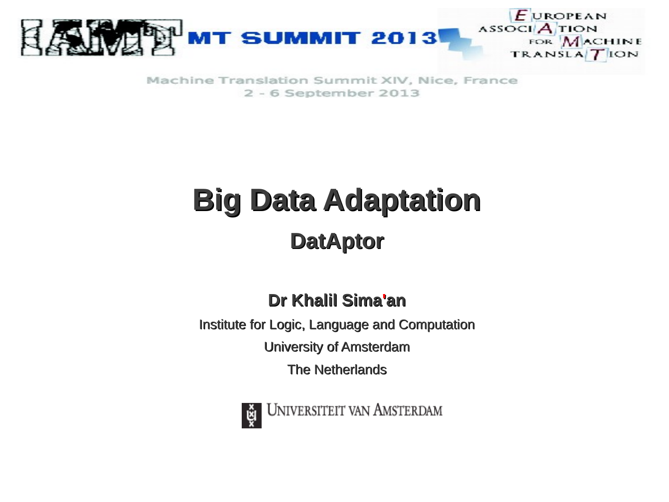

Machine Translation Summit XIV, Nice, France 2 - 6 September 2013

# **Big Data Adaptation DatAptor**

#### **Dr Khalil Sima'an**

Institute for Logic, Language and Computation University of Amsterdam

The Netherlands



UNIVERSITEIT VAN AMSTERDAM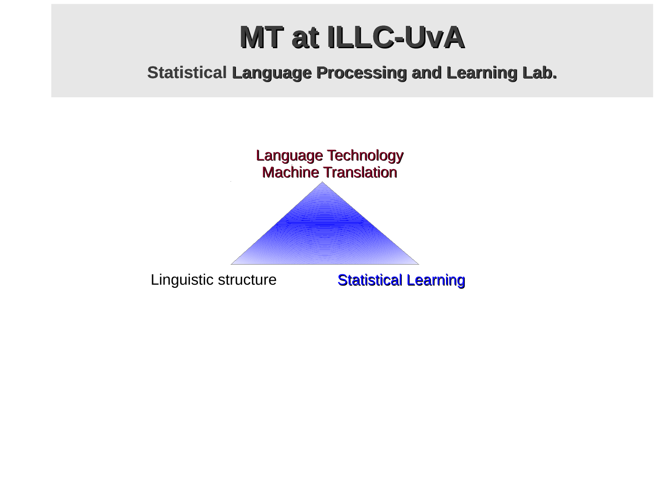### **MT at ILLC-UvA**

#### **Statistical Language Processing and Learning Lab.**

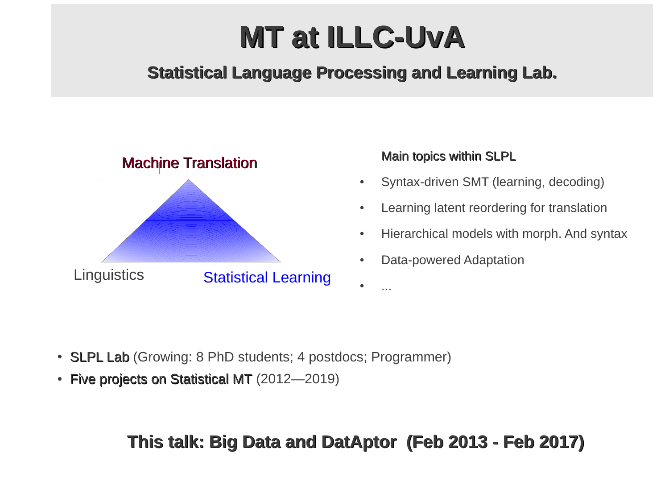## **MT at ILLC-UvA**

#### **Statistical Language Processing and Learning Lab.**



#### Main topics within SLPL

- Syntax-driven SMT (learning, decoding)
- Learning latent reordering for translation
- Hierarchical models with morph. And syntax
- Data-powered Adaptation

- **SLPL Lab** (Growing: 8 PhD students; 4 postdocs; Programmer)
- Five projects on Statistical MT  $(2012-2019)$

#### **This talk: Big Data and DatAptor (Feb 2013 - Feb 2017)**

 $\bullet$  ...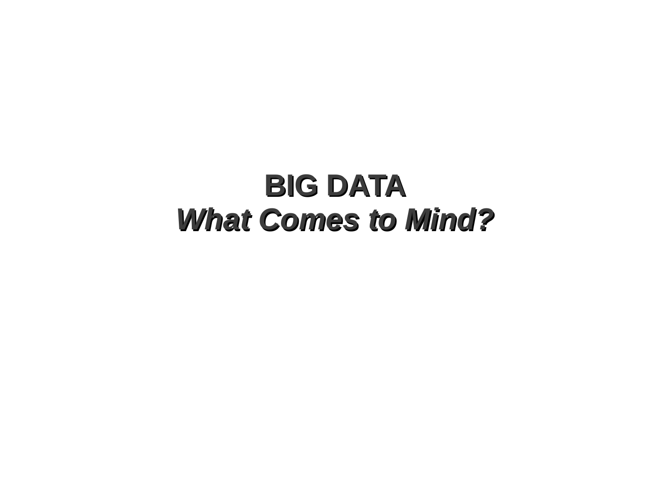### **BIG DATA** *What Comes to Mind?*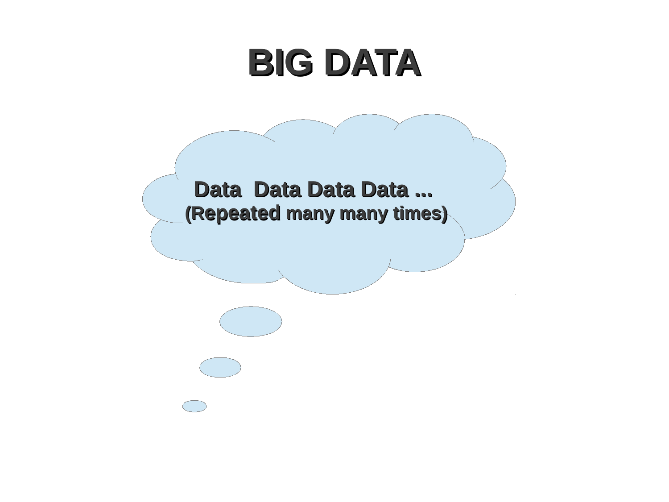# **BIG DATA**

Data Data Data Data ... (Repeated many many times)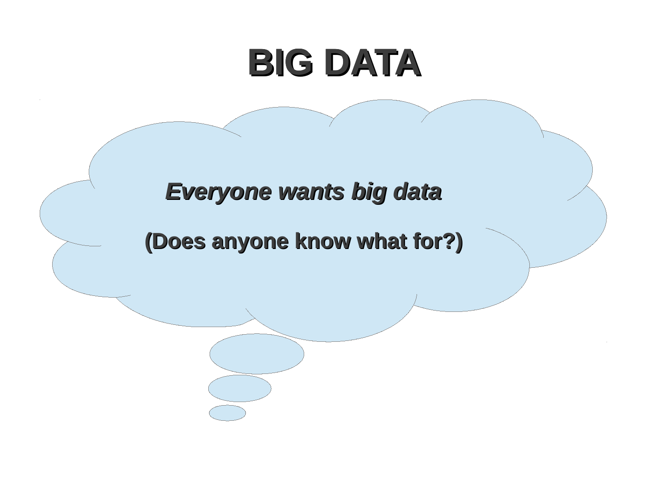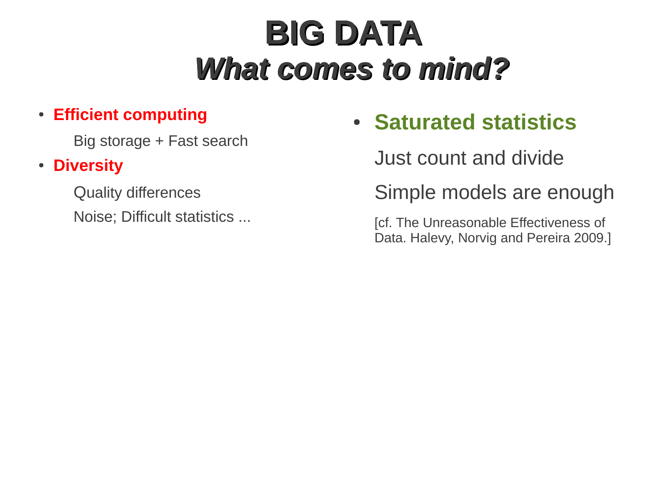# **BIG DATA**  *What comes to mind?*

#### ● **Efficient computing**

Big storage + Fast search

#### ● **Diversity**

Quality differences Noise; Difficult statistics ...

### ● **Saturated statistics**

Just count and divide

Simple models are enough

[cf. The Unreasonable Effectiveness of Data. Halevy, Norvig and Pereira 2009.]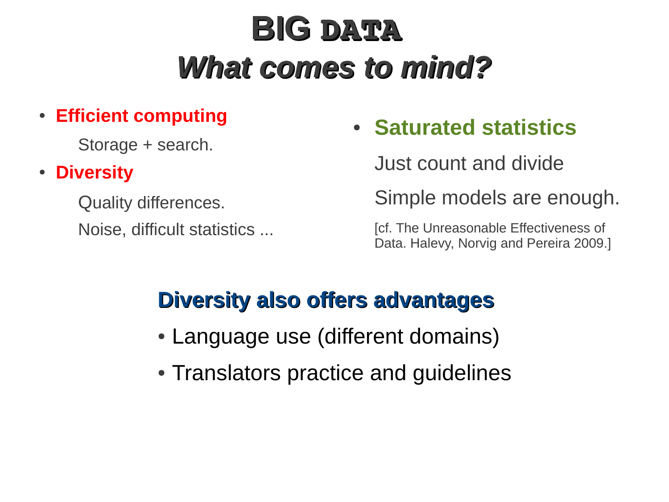# **BIG DATA**  *What comes to mind?*

#### ● **Efficient computing**

Storage + search.

#### ● **Diversity**

Quality differences. Noise, difficult statistics ...

### ● **Saturated statistics**

Just count and divide

Simple models are enough.

[cf. The Unreasonable Effectiveness of Data. Halevy, Norvig and Pereira 2009.]

#### **Diversity also offers advantages**

- Language use (different domains)
- Translators practice and quidelines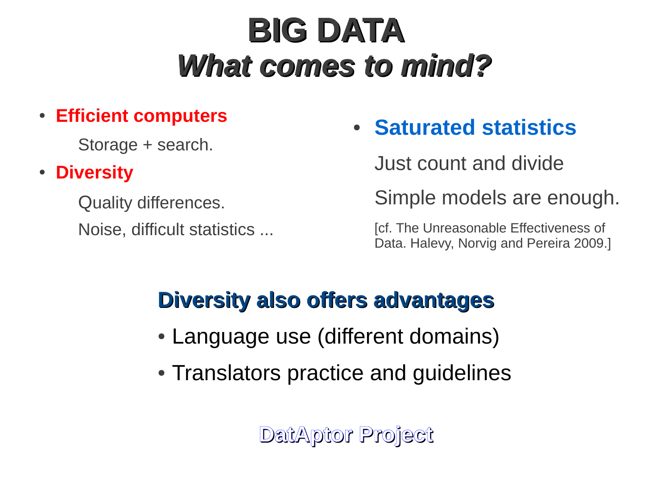# **BIG DATA**  *What comes to mind?*

#### ● **Efficient computers**

Storage + search.

#### ● **Diversity**

Quality differences. Noise, difficult statistics ...

### ● **Saturated statistics**

Just count and divide

Simple models are enough.

[cf. The Unreasonable Effectiveness of Data. Halevy, Norvig and Pereira 2009.]

### **Diversity also offers advantages**

- Language use (different domains)
- Translators practice and quidelines

**DatAptor Project**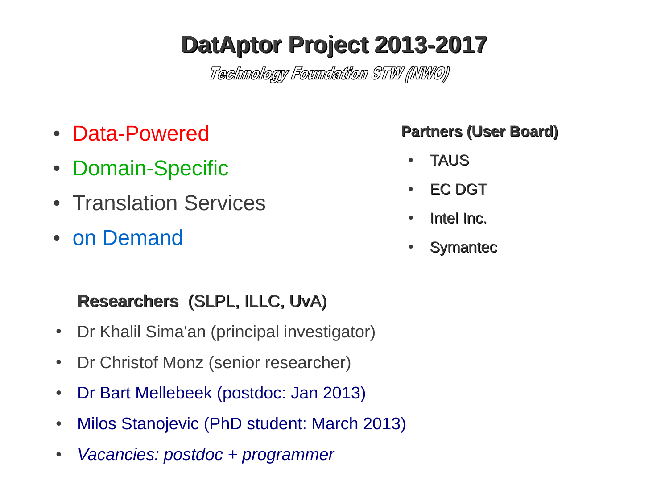### **DatAptor Project 2013-2017**

Technology Foundation STW (INWO)

- Data-Powered
- Domain-Specific
- Translation Services
- on Demand

#### **Researchers** (SLPL, ILLC, UvA)

- Dr Khalil Sima'an (principal investigator)
- Dr Christof Monz (senior researcher)
- Dr Bart Mellebeek (postdoc: Jan 2013)
- Milos Stanojevic (PhD student: March 2013)
- *Vacancies: postdoc + programmer*

#### **Partners (User Board)**

- TAUS
- EC DGT
- Intel Inc.
- Symantec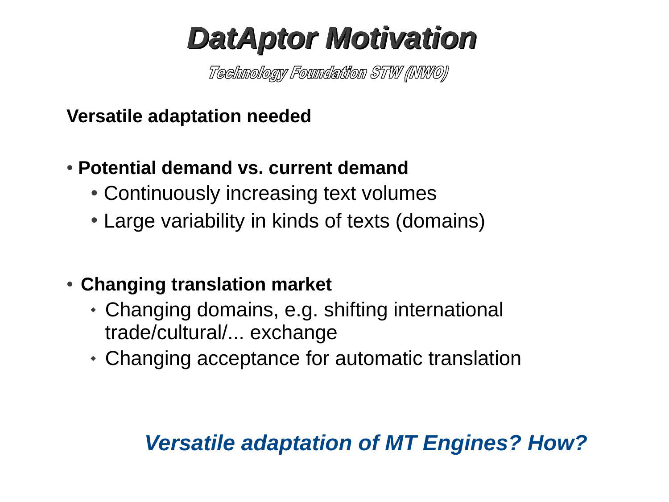### *DatAptor Motivation*

Technology Foundation STW (INWO)

**Versatile adaptation needed**

#### ● **Potential demand vs. current demand**

- Continuously increasing text volumes
- Large variability in kinds of texts (domains)

#### **• Changing translation market**

- Changing domains, e.g. shifting international trade/cultural/... exchange
- Changing acceptance for automatic translation

#### *Versatile adaptation of MT Engines? How?*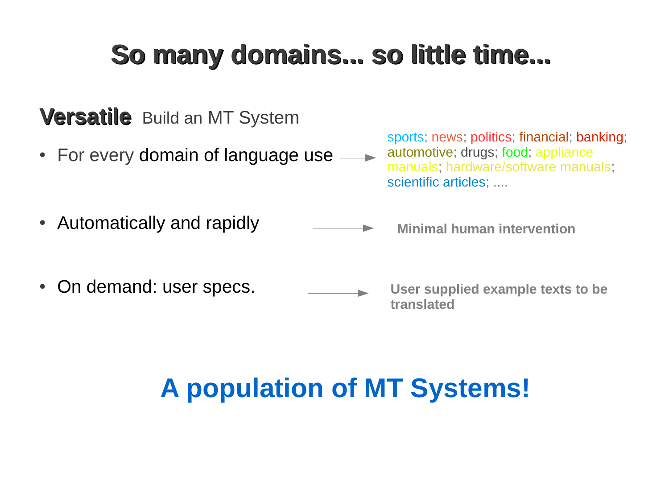### **So many domains... so little time...**

#### **Versatile** Build an MT System

• For every domain of language use  $\longrightarrow$ 

sports; news; politics; financial; banking; automotive; drugs; food; appliance manuals; hardware/software manuals; scientific articles: ....

- Automatically and rapidly
- On demand: user specs.

**Minimal human intervention** 

**User supplied example texts to be translated**

### **A population of MT Systems!**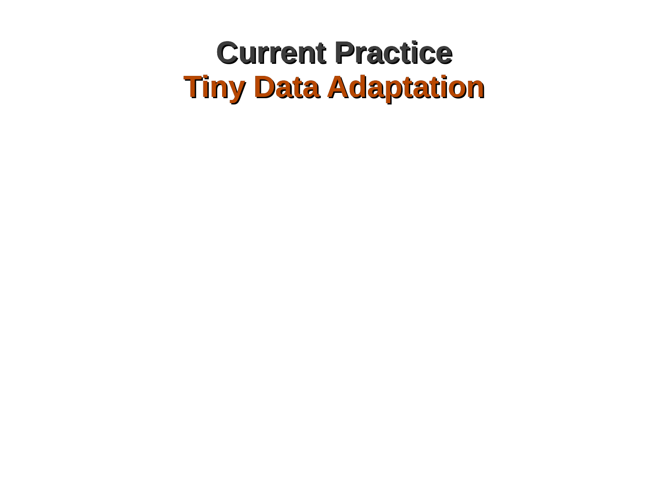### **Current Practice Tiny Data Adaptation**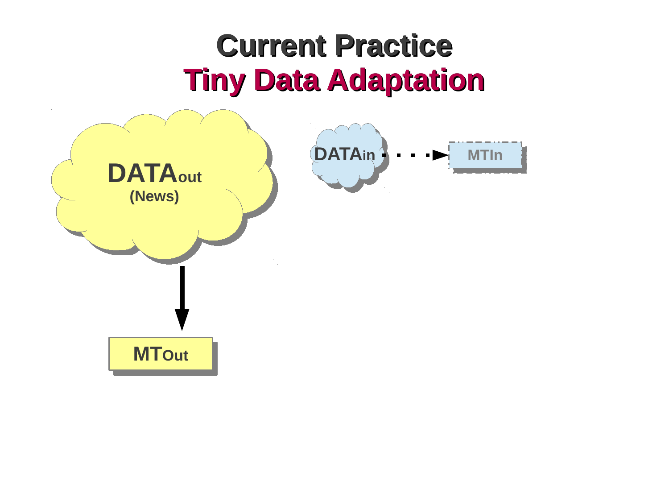### **Current Practice Tiny Data Adaptation**

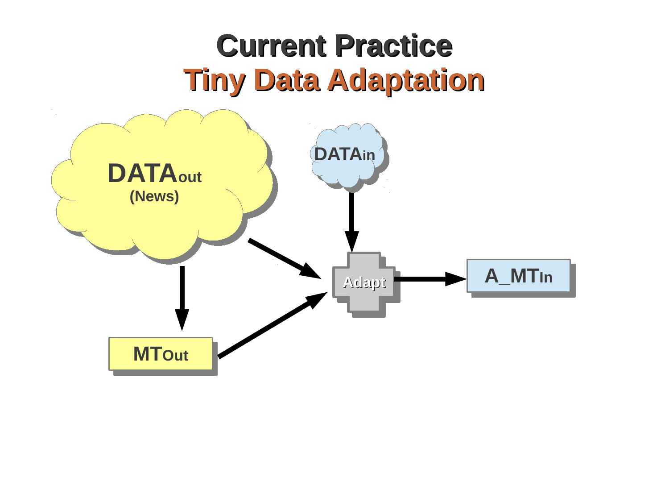### **Current Practice Tiny Data Adaptation**

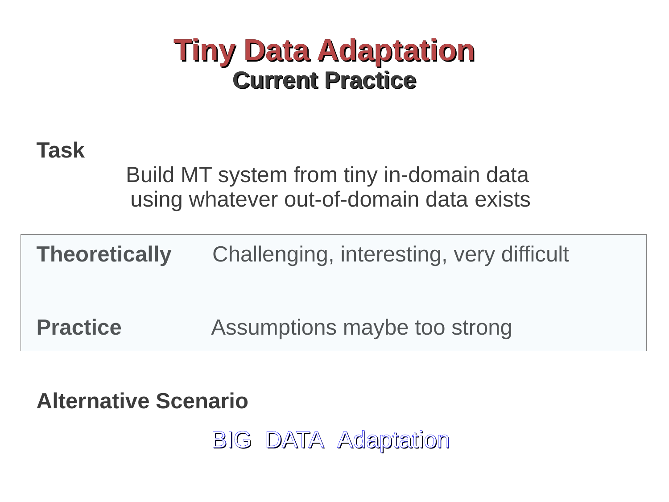### **Tiny Data Adaptation Current Practice**

#### **Task**

Build MT system from tiny in-domain data using whatever out-of-domain data exists

| Theoretically   | Challenging, interesting, very difficult |
|-----------------|------------------------------------------|
| <b>Practice</b> | Assumptions maybe too strong             |

**Alternative Scenario**

BIG DATA Adaptation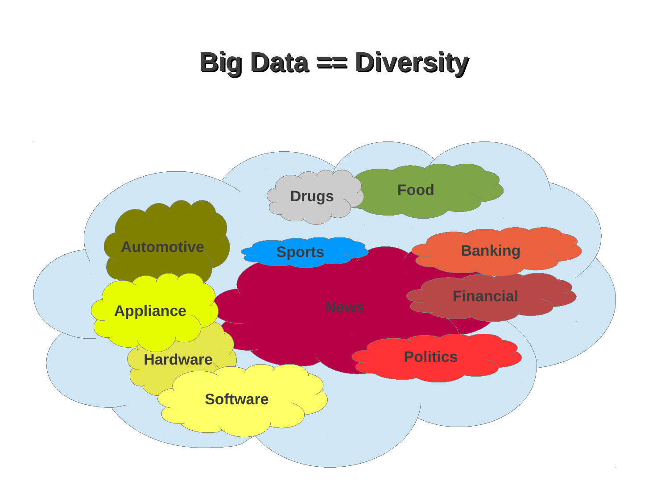### **Big Data == Diversity**

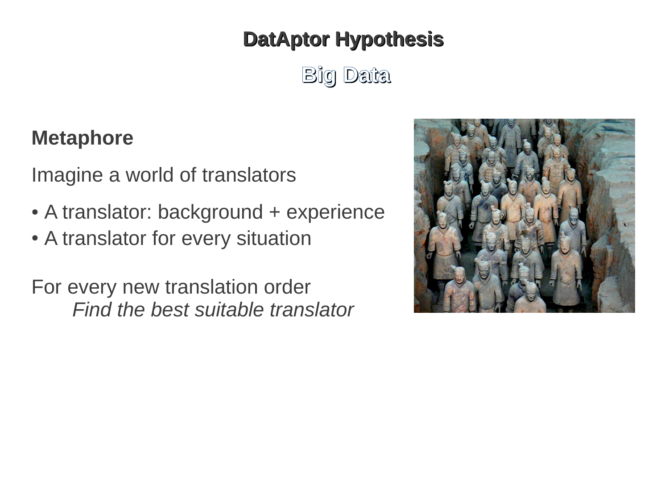#### **DatAptor Hypothesis**

**Big Data**

#### **Metaphore**

Imagine a world of translators

- A translator: background + experience
- A translator for every situation

For every new translation order *Find the best suitable translator*

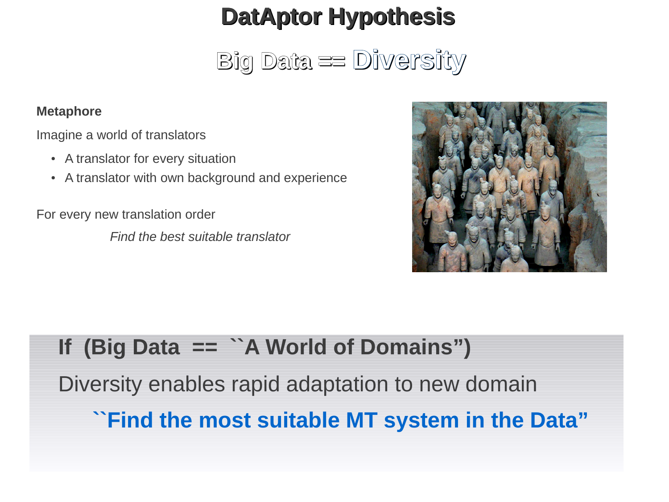### **DatAptor Hypothesis**

**Big Data == Diversity**

#### **Metaphore**

Imagine a world of translators

- A translator for every situation
- A translator with own background and experience

For every new translation order

*Find the best suitable translator*



#### **If (Big Data == ``A World of Domains")**

Diversity enables rapid adaptation to new domain

**``Find the most suitable MT system in the Data"**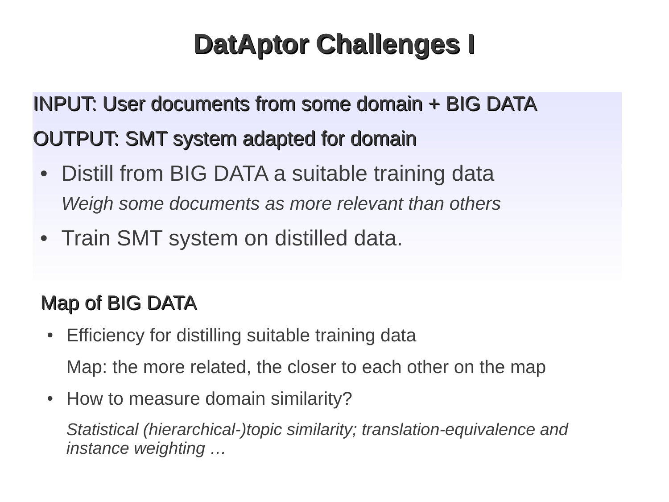### **DatAptor Challenges I**

### INPUT: User documents from some domain + BIG DATA OUTPUT: SMT system adapted for domain

- Distill from BIG DATA a suitable training data *Weigh some documents as more relevant than others*
- Train SMT system on distilled data.

#### Map of BIG DATA

- Efficiency for distilling suitable training data Map: the more related, the closer to each other on the map
- How to measure domain similarity?

*Statistical (hierarchical-)topic similarity; translation-equivalence and instance weighting …*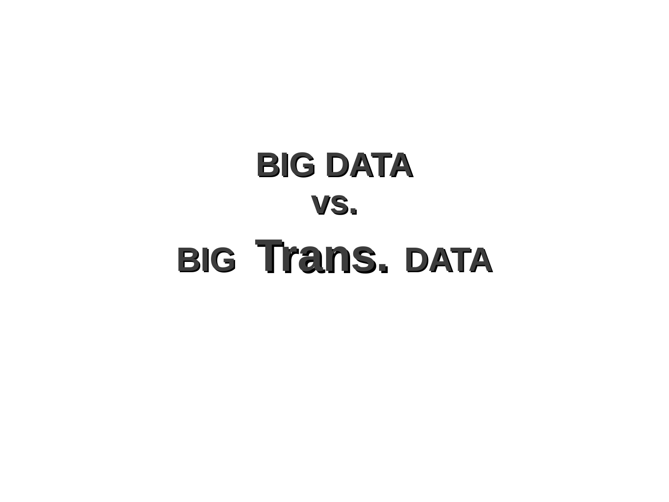# **BIG DATA vs. BIG Trans. DATA**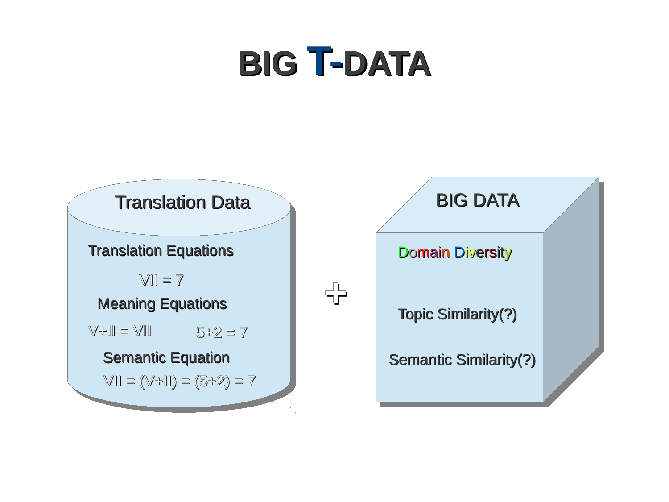# **BIG T-DATA**



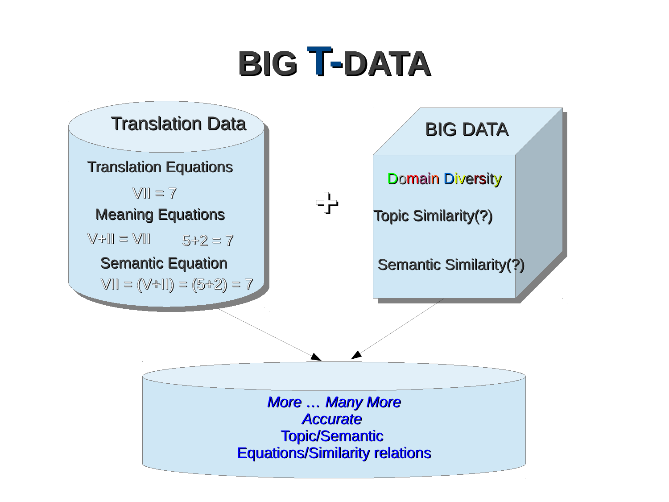# **BIG T-DATA**

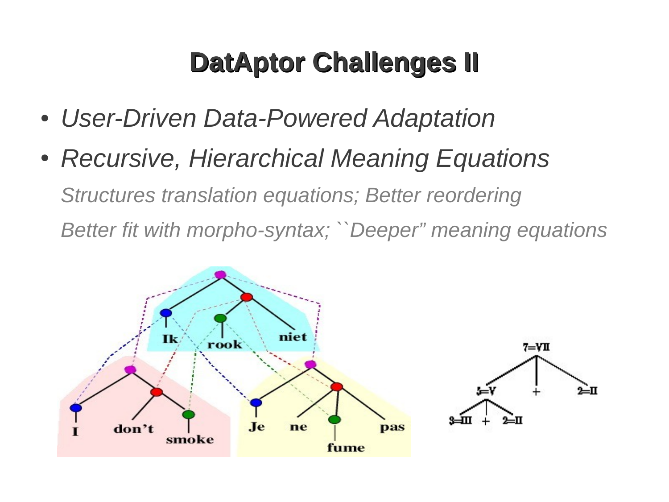### **DatAptor Challenges II**

- *User-Driven Data-Powered Adaptation*
- *Recursive, Hierarchical Meaning Equations Structures translation equations; Better reordering Better fit with morpho-syntax; ``Deeper" meaning equations*